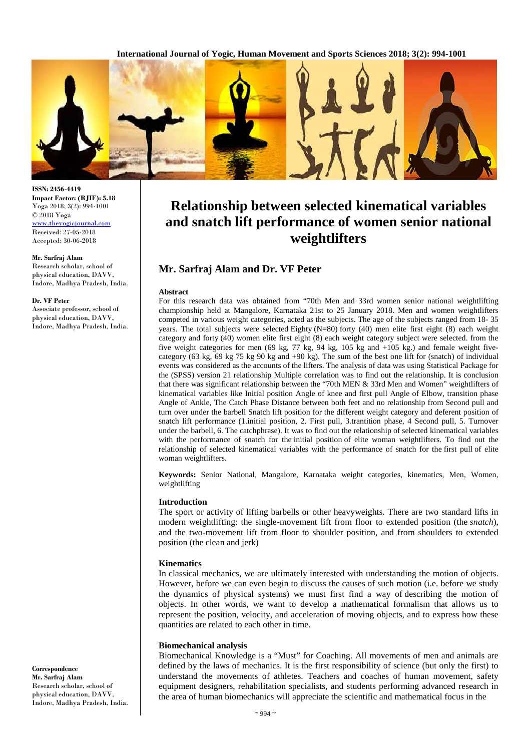**International Journal of Yogic, Human Movement and Sports Sciences 2018; 3(2): 994-1001**



# **Relationship between selected kinematical variables and snatch lift performance of women senior national weightlifters**

# **Mr. Sarfraj Alam and Dr. VF Peter**

#### **Abstract**

For this research data was obtained from "70th Men and 33rd women senior national weightlifting championship held at Mangalore, Karnataka 21st to 25 January 2018. Men and women weightlifters competed in various weight categories, acted as the subjects. The age of the subjects ranged from 18- 35 years. The total subjects were selected Eighty (N=80) forty (40) men elite first eight (8) each weight category and forty (40) women elite first eight (8) each weight category subject were selected. from the five weight categories for men (69 kg, 77 kg, 94 kg, 105 kg and +105 kg.) and female weight fivecategory (63 kg, 69 kg 75 kg 90 kg and +90 kg). The sum of the best one lift for (snatch) of individual events was considered as the accounts of the lifters. The analysis of data was using Statistical Package for the (SPSS) version 21 relationship Multiple correlation was to find out the relationship. It is conclusion that there was significant relationship between the "70th MEN & 33rd Men and Women" weightlifters of kinematical variables like Initial position Angle of knee and first pull Angle of Elbow, transition phase Angle of Ankle, The Catch Phase Distance between both feet and no relationship from Second pull and turn over under the barbell Snatch lift position for the different weight category and deferent position of snatch lift performance (1.initial position, 2. First pull, 3.trantition phase, 4 Second pull, 5. Turnover under the barbell, 6. The catchphrase). It was to find out the relationship of selected kinematical variables with the performance of snatch for the initial position of elite woman weightlifters. To find out the relationship of selected kinematical variables with the performance of snatch for the first pull of elite woman weightlifters.

**Keywords:** Senior National, Mangalore, Karnataka weight categories, kinematics, Men, Women, weightlifting

#### **Introduction**

The sport or activity of lifting barbells or other heavyweights. There are two standard lifts in modern weightlifting: the single-movement lift from floor to extended position (the *snatch*), and the two-movement lift from floor to shoulder position, and from shoulders to extended position (the clean and jerk)

#### **Kinematics**

In classical mechanics, we are ultimately interested with understanding the motion of objects. However, before we can even begin to discuss the causes of such motion (i.e. before we study the dynamics of physical systems) we must first find a way of describing the motion of objects. In other words, we want to develop a mathematical formalism that allows us to represent the position, velocity, and acceleration of moving objects, and to express how these quantities are related to each other in time.

#### **Biomechanical analysis**

Biomechanical Knowledge is a "Must" for Coaching. All movements of men and animals are defined by the laws of mechanics. It is the first responsibility of science (but only the first) to understand the movements of athletes. Teachers and coaches of human movement, safety equipment designers, rehabilitation specialists, and students performing advanced research in the area of human biomechanics will appreciate the scientific and mathematical focus in the

**ISSN: 2456-4419 Impact Factor: (RJIF): 5.18** Yoga 2018; 3(2): 994-1001 © 2018 Yoga [www.theyogicjournal.com](http://www.theyogicjournal.com/) Received: 27-05-2018

Accepted: 30-06-2018

#### **Mr. Sarfraj Alam**

Research scholar, school of physical education, DAVV, Indore, Madhya Pradesh, India.

#### **Dr. VF Peter**

Associate professor, school of physical education, DAVV, Indore, Madhya Pradesh, India.

**Correspondence Mr. Sarfraj Alam** Research scholar, school of physical education, DAVV, Indore, Madhya Pradesh, India.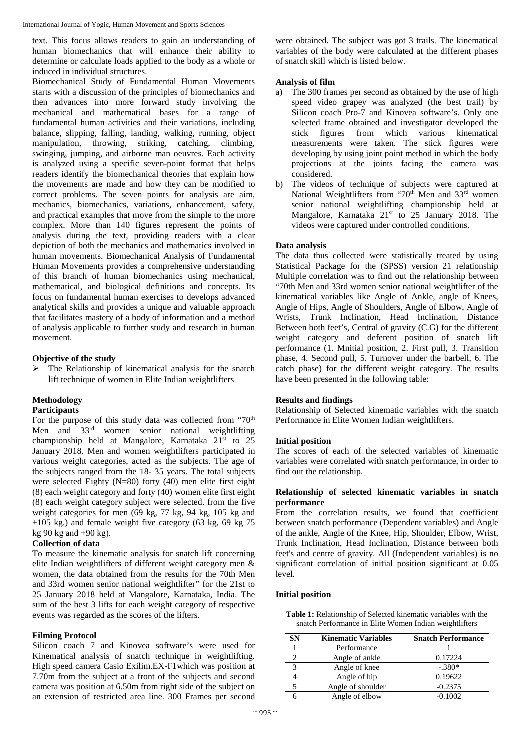text. This focus allows readers to gain an understanding of human biomechanics that will enhance their ability to determine or calculate loads applied to the body as a whole or induced in individual structures.

Biomechanical Study of Fundamental Human Movements starts with a discussion of the principles of biomechanics and then advances into more forward study involving the mechanical and mathematical bases for a range of fundamental human activities and their variations, including balance, slipping, falling, landing, walking, running, object manipulation, throwing, striking, catching, climbing, swinging, jumping, and airborne man oeuvres. Each activity is analyzed using a specific seven-point format that helps readers identify the biomechanical theories that explain how the movements are made and how they can be modified to correct problems. The seven points for analysis are aim, mechanics, biomechanics, variations, enhancement, safety, and practical examples that move from the simple to the more complex. More than 140 figures represent the points of analysis during the text, providing readers with a clear depiction of both the mechanics and mathematics involved in human movements. Biomechanical Analysis of Fundamental Human Movements provides a comprehensive understanding of this branch of human biomechanics using mechanical, mathematical, and biological definitions and concepts. Its focus on fundamental human exercises to develops advanced analytical skills and provides a unique and valuable approach that facilitates mastery of a body of information and a method of analysis applicable to further study and research in human movement.

# **Objective of the study**

 The Relationship of kinematical analysis for the snatch lift technique of women in Elite Indian weightlifters

## **Methodology**

## **Participants**

For the purpose of this study data was collected from "70<sup>th</sup> Men and 33<sup>rd</sup> women senior national weightlifting championship held at Mangalore, Karnataka 21<sup>st</sup> to 25 January 2018. Men and women weightlifters participated in various weight categories, acted as the subjects. The age of the subjects ranged from the 18- 35 years. The total subjects were selected Eighty (N=80) forty (40) men elite first eight (8) each weight category and forty (40) women elite first eight (8) each weight category subject were selected. from the five weight categories for men (69 kg, 77 kg, 94 kg, 105 kg and  $+105$  kg.) and female weight five category (63 kg, 69 kg 75) kg 90 kg and  $+90$  kg).

## **Collection of data**

To measure the kinematic analysis for snatch lift concerning elite Indian weightlifters of different weight category men & women, the data obtained from the results for the 70th Men and 33rd women senior national weightlifter" for the 21st to 25 January 2018 held at Mangalore, Karnataka, India. The sum of the best 3 lifts for each weight category of respective events was regarded as the scores of the lifters.

## **Filming Protocol**

Silicon coach 7 and Kinovea software's were used for Kinematical analysis of snatch technique in weightlifting. High speed camera Casio Exilim.EX-F1which was position at 7.70m from the subject at a front of the subjects and second camera was position at 6.50m from right side of the subject on an extension of restricted area line. 300 Frames per second

were obtained. The subject was got 3 trails. The kinematical variables of the body were calculated at the different phases of snatch skill which is listed below.

## **Analysis of film**

- a) The 300 frames per second as obtained by the use of high speed video grapey was analyzed (the best trail) by Silicon coach Pro-7 and Kinovea software's. Only one selected frame obtained and investigator developed the stick figures from which various kinematical measurements were taken. The stick figures were developing by using joint point method in which the body projections at the joints facing the camera was considered.
- b) The videos of technique of subjects were captured at National Weightlifters from "70<sup>th</sup> Men and 33<sup>rd</sup> women senior national weightlifting championship held at Mangalore, Karnataka 21<sup>st</sup> to 25 January 2018. The videos were captured under controlled conditions.

#### **Data analysis**

The data thus collected were statistically treated by using Statistical Package for the (SPSS) version 21 relationship Multiple correlation was to find out the relationship between "70th Men and 33rd women senior national weightlifter of the kinematical variables like Angle of Ankle, angle of Knees, Angle of Hips, Angle of Shoulders, Angle of Elbow, Angle of Wrists, Trunk Inclination, Head Inclination, Distance Between both feet's, Central of gravity (C.G) for the different weight category and deferent position of snatch lift performance (1. Mnitial position, 2. First pull, 3. Transition phase, 4. Second pull, 5. Turnover under the barbell, 6. The catch phase) for the different weight category. The results have been presented in the following table:

## **Results and findings**

Relationship of Selected kinematic variables with the snatch Performance in Elite Women Indian weightlifters.

#### **Initial position**

The scores of each of the selected variables of kinematic variables were correlated with snatch performance, in order to find out the relationship.

## **Relationship of selected kinematic variables in snatch performance**

From the correlation results, we found that coefficient between snatch performance (Dependent variables) and Angle of the ankle, Angle of the Knee, Hip, Shoulder, Elbow, Wrist, Trunk Inclination, Head Inclination, Distance between both feet's and centre of gravity. All (Independent variables) is no significant correlation of initial position significant at 0.05 level.

#### **Initial position**

**Table 1:** Relationship of Selected kinematic variables with the snatch Performance in Elite Women Indian weightlifters

| SΝ | <b>Kinematic Variables</b> | <b>Snatch Performance</b> |
|----|----------------------------|---------------------------|
|    | Performance                |                           |
|    | Angle of ankle             | 0.17224                   |
|    | Angle of knee              | $-.380*$                  |
|    | Angle of hip               | 0.19622                   |
|    | Angle of shoulder          | $-0.2375$                 |
|    | Angle of elbow             | $-0.1002$                 |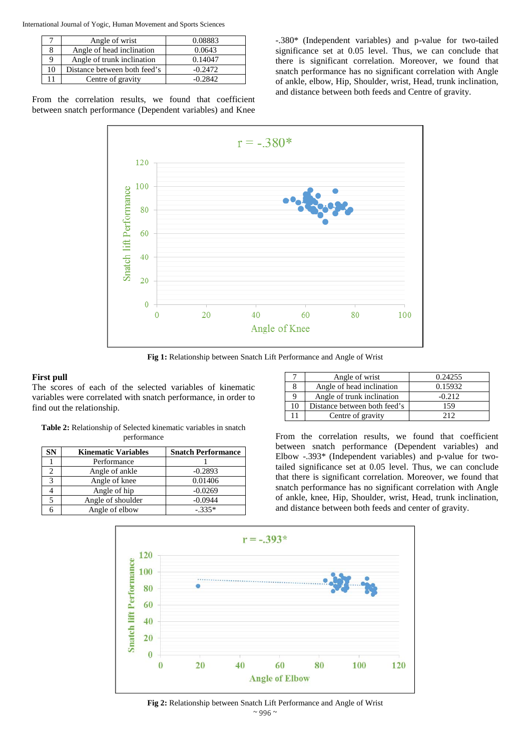|    | Angle of wrist               | 0.08883   |
|----|------------------------------|-----------|
|    | Angle of head inclination    | 0.0643    |
|    | Angle of trunk inclination   | 0.14047   |
| 10 | Distance between both feed's | $-0.2472$ |
|    | Centre of gravity            | $-0.2842$ |

From the correlation results, we found that coefficient between snatch performance (Dependent variables) and Knee -.380\* (Independent variables) and p-value for two-tailed significance set at 0.05 level. Thus, we can conclude that there is significant correlation. Moreover, we found that snatch performance has no significant correlation with Angle of ankle, elbow, Hip, Shoulder, wrist, Head, trunk inclination, and distance between both feeds and Centre of gravity.



**Fig 1:** Relationship between Snatch Lift Performance and Angle of Wrist

#### **First pull**

The scores of each of the selected variables of kinematic variables were correlated with snatch performance, in order to find out the relationship.

| <b>Table 2:</b> Relationship of Selected kinematic variables in snatch |
|------------------------------------------------------------------------|
| performance                                                            |

| SN | <b>Kinematic Variables</b> | <b>Snatch Performance</b> |
|----|----------------------------|---------------------------|
|    | Performance                |                           |
|    | Angle of ankle             | $-0.2893$                 |
| 2  | Angle of knee              | 0.01406                   |
|    | Angle of hip               | $-0.0269$                 |
|    | Angle of shoulder          | $-0.0944$                 |
|    | Angle of elbow             | $-.335*$                  |

|    | Angle of wrist               | 0.24255  |
|----|------------------------------|----------|
|    | Angle of head inclination    | 0.15932  |
| 9  | Angle of trunk inclination   | $-0.212$ |
| 10 | Distance between both feed's | 159      |
|    | Centre of gravity            | 212      |

From the correlation results, we found that coefficient between snatch performance (Dependent variables) and Elbow -.393\* (Independent variables) and p-value for twotailed significance set at 0.05 level. Thus, we can conclude that there is significant correlation. Moreover, we found that snatch performance has no significant correlation with Angle of ankle, knee, Hip, Shoulder, wrist, Head, trunk inclination, and distance between both feeds and center of gravity.



 $\sim$  996  $\sim$ **Fig 2:** Relationship between Snatch Lift Performance and Angle of Wrist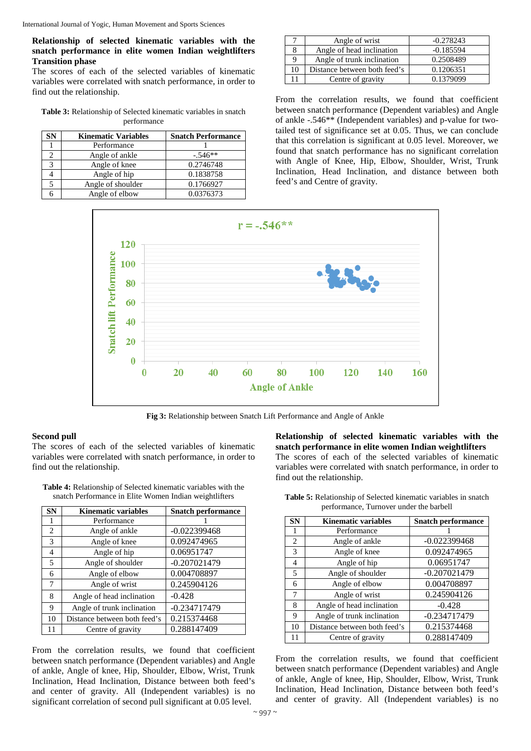# **Relationship of selected kinematic variables with the snatch performance in elite women Indian weightlifters Transition phase**

The scores of each of the selected variables of kinematic variables were correlated with snatch performance, in order to find out the relationship.

**Table 3:** Relationship of Selected kinematic variables in snatch performance

| SN | <b>Kinematic Variables</b> | <b>Snatch Performance</b> |
|----|----------------------------|---------------------------|
|    | Performance                |                           |
|    | Angle of ankle             | $-.546**$                 |
|    | Angle of knee              | 0.2746748                 |
|    | Angle of hip               | 0.1838758                 |
|    | Angle of shoulder          | 0.1766927                 |
|    | Angle of elbow             | 0.0376373                 |

|    | Angle of wrist               | $-0.278243$ |
|----|------------------------------|-------------|
|    | Angle of head inclination    | $-0.185594$ |
|    | Angle of trunk inclination   | 0.2508489   |
| 10 | Distance between both feed's | 0.1206351   |
|    | Centre of gravity            | 0.1379099   |

From the correlation results, we found that coefficient between snatch performance (Dependent variables) and Angle of ankle -.546\*\* (Independent variables) and p-value for twotailed test of significance set at 0.05. Thus, we can conclude that this correlation is significant at 0.05 level. Moreover, we found that snatch performance has no significant correlation with Angle of Knee, Hip, Elbow, Shoulder, Wrist, Trunk Inclination, Head Inclination, and distance between both feed's and Centre of gravity.



**Fig 3:** Relationship between Snatch Lift Performance and Angle of Ankle

## **Second pull**

The scores of each of the selected variables of kinematic variables were correlated with snatch performance, in order to find out the relationship.

**Table 4:** Relationship of Selected kinematic variables with the snatch Performance in Elite Women Indian weightlifters

| <b>SN</b> | <b>Kinematic variables</b>   | <b>Snatch performance</b> |
|-----------|------------------------------|---------------------------|
| 1         | Performance                  |                           |
| 2         | Angle of ankle               | $-0.022399468$            |
| 3         | Angle of knee                | 0.092474965               |
| 4         | Angle of hip                 | 0.06951747                |
| 5         | Angle of shoulder            | $-0.207021479$            |
| 6         | Angle of elbow               | 0.004708897               |
| 7         | Angle of wrist               | 0.245904126               |
| 8         | Angle of head inclination    | $-0.428$                  |
| 9         | Angle of trunk inclination   | $-0.234717479$            |
| 10        | Distance between both feed's | 0.215374468               |
| 11        | Centre of gravity            | 0.288147409               |

From the correlation results, we found that coefficient between snatch performance (Dependent variables) and Angle of ankle, Angle of knee, Hip, Shoulder, Elbow, Wrist, Trunk Inclination, Head Inclination, Distance between both feed's and center of gravity. All (Independent variables) is no significant correlation of second pull significant at 0.05 level.

**Relationship of selected kinematic variables with the snatch performance in elite women Indian weightlifters** The scores of each of the selected variables of kinematic variables were correlated with snatch performance, in order to find out the relationship.

| <b>SN</b>      | <b>Kinematic variables</b>   | <b>Snatch performance</b> |
|----------------|------------------------------|---------------------------|
| 1              | Performance                  |                           |
| 2              | Angle of ankle               | $-0.022399468$            |
| 3              | Angle of knee                | 0.092474965               |
| $\overline{4}$ | Angle of hip                 | 0.06951747                |
| 5              | Angle of shoulder            | $-0.207021479$            |
| 6              | Angle of elbow               | 0.004708897               |
| 7              | Angle of wrist               | 0.245904126               |
| 8              | Angle of head inclination    | $-0.428$                  |
| 9              | Angle of trunk inclination   | -0.234717479              |
| 10             | Distance between both feed's | 0.215374468               |
| 11             | Centre of gravity            | 0.288147409               |

**Table 5:** Relationship of Selected kinematic variables in snatch performance, Turnover under the barbell

From the correlation results, we found that coefficient between snatch performance (Dependent variables) and Angle of ankle, Angle of knee, Hip, Shoulder, Elbow, Wrist, Trunk Inclination, Head Inclination, Distance between both feed's and center of gravity. All (Independent variables) is no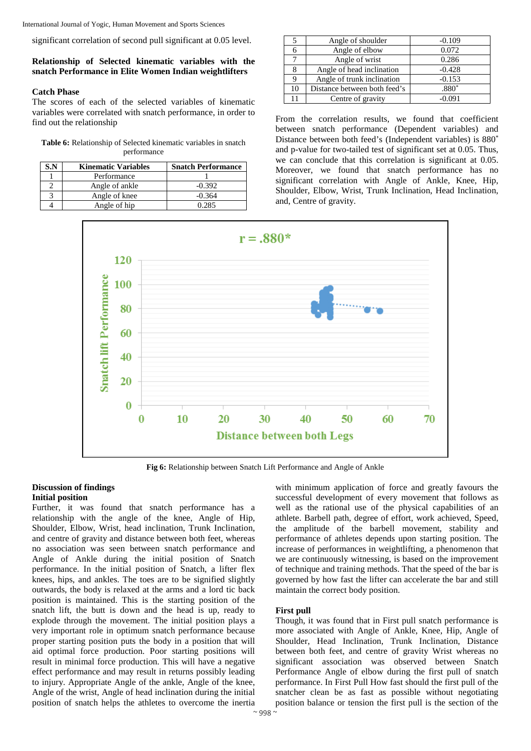significant correlation of second pull significant at 0.05 level.

# **Relationship of Selected kinematic variables with the snatch Performance in Elite Women Indian weightlifters**

## **Catch Phase**

The scores of each of the selected variables of kinematic variables were correlated with snatch performance, in order to find out the relationship

| <b>Table 6:</b> Relationship of Selected kinematic variables in snatch |
|------------------------------------------------------------------------|
| performance                                                            |

| 3.N | <b>Kinematic Variables</b> | <b>Snatch Performance</b> |
|-----|----------------------------|---------------------------|
|     | Performance                |                           |
|     | Angle of ankle             | $-0.392$                  |
|     | Angle of knee              | $-0.364$                  |
|     | Angle of hip               | በ ንՋና                     |

|    | Angle of shoulder            | $-0.109$ |
|----|------------------------------|----------|
|    | Angle of elbow               | 0.072    |
|    | Angle of wrist               | 0.286    |
|    | Angle of head inclination    | $-0.428$ |
|    | Angle of trunk inclination   | $-0.153$ |
| 10 | Distance between both feed's | $.880*$  |
| 11 | Centre of gravity            | $-0.091$ |

From the correlation results, we found that coefficient between snatch performance (Dependent variables) and Distance between both feed's (Independent variables) is 880\* and p-value for two-tailed test of significant set at 0.05. Thus, we can conclude that this correlation is significant at 0.05. Moreover, we found that snatch performance has no significant correlation with Angle of Ankle, Knee, Hip, Shoulder, Elbow, Wrist, Trunk Inclination, Head Inclination, and, Centre of gravity.



**Fig 6:** Relationship between Snatch Lift Performance and Angle of Ankle

## **Discussion of findings Initial position**

Further, it was found that snatch performance has a relationship with the angle of the knee, Angle of Hip, Shoulder, Elbow, Wrist, head inclination, Trunk Inclination, and centre of gravity and distance between both feet, whereas no association was seen between snatch performance and Angle of Ankle during the initial position of Snatch performance. In the initial position of Snatch, a lifter flex knees, hips, and ankles. The toes are to be signified slightly outwards, the body is relaxed at the arms and a lord tic back position is maintained. This is the starting position of the snatch lift, the butt is down and the head is up, ready to explode through the movement. The initial position plays a very important role in optimum snatch performance because proper starting position puts the body in a position that will aid optimal force production. Poor starting positions will result in minimal force production. This will have a negative effect performance and may result in returns possibly leading to injury. Appropriate Angle of the ankle, Angle of the knee, Angle of the wrist, Angle of head inclination during the initial position of snatch helps the athletes to overcome the inertia

with minimum application of force and greatly favours the successful development of every movement that follows as well as the rational use of the physical capabilities of an athlete. Barbell path, degree of effort, work achieved, Speed, the amplitude of the barbell movement, stability and performance of athletes depends upon starting position. The increase of performances in weightlifting, a phenomenon that we are continuously witnessing, is based on the improvement of technique and training methods. That the speed of the bar is governed by how fast the lifter can accelerate the bar and still maintain the correct body position.

## **First pull**

Though, it was found that in First pull snatch performance is more associated with Angle of Ankle, Knee, Hip, Angle of Shoulder, Head Inclination, Trunk Inclination, Distance between both feet, and centre of gravity Wrist whereas no significant association was observed between Snatch Performance Angle of elbow during the first pull of snatch performance. In First Pull How fast should the first pull of the snatcher clean be as fast as possible without negotiating position balance or tension the first pull is the section of the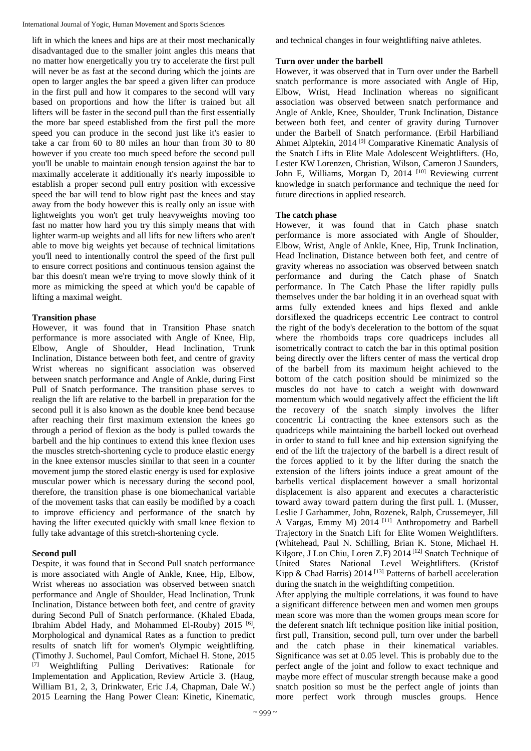lift in which the knees and hips are at their most mechanically disadvantaged due to the smaller joint angles this means that no matter how energetically you try to accelerate the first pull will never be as fast at the second during which the joints are open to larger angles the bar speed a given lifter can produce in the first pull and how it compares to the second will vary based on proportions and how the lifter is trained but all lifters will be faster in the second pull than the first essentially the more bar speed established from the first pull the more speed you can produce in the second just like it's easier to take a car from 60 to 80 miles an hour than from 30 to 80 however if you create too much speed before the second pull you'll be unable to maintain enough tension against the bar to maximally accelerate it additionally it's nearly impossible to establish a proper second pull entry position with excessive speed the bar will tend to blow right past the knees and stay away from the body however this is really only an issue with lightweights you won't get truly heavyweights moving too fast no matter how hard you try this simply means that with lighter warm-up weights and all lifts for new lifters who aren't able to move big weights yet because of technical limitations you'll need to intentionally control the speed of the first pull to ensure correct positions and continuous tension against the bar this doesn't mean we're trying to move slowly think of it more as mimicking the speed at which you'd be capable of lifting a maximal weight.

# **Transition phase**

However, it was found that in Transition Phase snatch performance is more associated with Angle of Knee, Hip, Elbow, Angle of Shoulder, Head Inclination, Trunk Inclination, Distance between both feet, and centre of gravity Wrist whereas no significant association was observed between snatch performance and Angle of Ankle, during First Pull of Snatch performance. The transition phase serves to realign the lift are relative to the barbell in preparation for the second pull it is also known as the double knee bend because after reaching their first maximum extension the knees go through a period of flexion as the body is pulled towards the barbell and the hip continues to extend this knee flexion uses the muscles stretch-shortening cycle to produce elastic energy in the knee extensor muscles similar to that seen in a counter movement jump the stored elastic energy is used for explosive muscular power which is necessary during the second pool, therefore, the transition phase is one biomechanical variable of the movement tasks that can easily be modified by a coach to improve efficiency and performance of the snatch by having the lifter executed quickly with small knee flexion to fully take advantage of this stretch-shortening cycle.

# **Second pull**

Despite, it was found that in Second Pull snatch performance is more associated with Angle of Ankle, Knee, Hip, Elbow, Wrist whereas no association was observed between snatch performance and Angle of Shoulder, Head Inclination, Trunk Inclination, Distance between both feet, and centre of gravity during Second Pull of Snatch performance. (Khaled Ebada, Ibrahim Abdel Hady, and Mohammed El-Rouby) 2015 [6], Morphological and dynamical Rates as a function to predict results of snatch lift for women's Olympic weightlifting. (Timothy J. Suchomel, Paul Comfort, Michael H. Stone, 2015 [7] Weightlifting Pulling Derivatives: Rationale for Implementation and Application, Review Article 3. **(**Haug, William B1, 2, 3, Drinkwater, Eric J.4, Chapman, Dale W.) 2015 Learning the Hang Power Clean: Kinetic, Kinematic,

and technical changes in four weightlifting naive athletes.

# **Turn over under the barbell**

However, it was observed that in Turn over under the Barbell snatch performance is more associated with Angle of Hip, Elbow, Wrist, Head Inclination whereas no significant association was observed between snatch performance and Angle of Ankle, Knee, Shoulder, Trunk Inclination, Distance between both feet, and center of gravity during Turnover under the Barbell of Snatch performance. (Erbil Harbiliand Ahmet Alptekin, 2014<sup>[9]</sup> Comparative Kinematic Analysis of the Snatch Lifts in Elite Male Adolescent Weightlifters. (Ho, Lester KW Lorenzen, Christian, Wilson, Cameron J Saunders, John E, Williams, Morgan D, 2014<sup>[10]</sup> Reviewing current knowledge in snatch performance and technique the need for future directions in applied research.

# **The catch phase**

However, it was found that in Catch phase snatch performance is more associated with Angle of Shoulder, Elbow, Wrist, Angle of Ankle, Knee, Hip, Trunk Inclination, Head Inclination, Distance between both feet, and centre of gravity whereas no association was observed between snatch performance and during the Catch phase of Snatch performance. In The Catch Phase the lifter rapidly pulls themselves under the bar holding it in an overhead squat with arms fully extended knees and hips flexed and ankle dorsiflexed the quadriceps eccentric Lee contract to control the right of the body's deceleration to the bottom of the squat where the rhomboids traps core quadriceps includes all isometrically contract to catch the bar in this optimal position being directly over the lifters center of mass the vertical drop of the barbell from its maximum height achieved to the bottom of the catch position should be minimized so the muscles do not have to catch a weight with downward momentum which would negatively affect the efficient the lift the recovery of the snatch simply involves the lifter concentric Li contracting the knee extensors such as the quadriceps while maintaining the barbell locked out overhead in order to stand to full knee and hip extension signifying the end of the lift the trajectory of the barbell is a direct result of the forces applied to it by the lifter during the snatch the extension of the lifters joints induce a great amount of the barbells vertical displacement however a small horizontal displacement is also apparent and executes a characteristic toward away toward pattern during the first pull. 1. (Musser, Leslie J Garhammer, John, Rozenek, Ralph, Crussemeyer, Jill A Vargas, Emmy M) 2014 [11] Anthropometry and Barbell Trajectory in the Snatch Lift for Elite Women Weightlifters. (Whitehead, Paul N. Schilling, Brian K. Stone, Michael H. Kilgore, J Lon Chiu, Loren Z.F) 2014<sup>[12]</sup> Snatch Technique of United States National Level Weightlifters. (Kristof Kipp & Chad Harris) 2014<sup>[13]</sup> Patterns of barbell acceleration during the snatch in the weightlifting competition.

After applying the multiple correlations, it was found to have a significant difference between men and women men groups mean score was more than the women groups mean score for the deferent snatch lift technique position like initial position, first pull, Transition, second pull, turn over under the barbell and the catch phase in their kinematical variables. Significance was set at 0.05 level. This is probably due to the perfect angle of the joint and follow to exact technique and maybe more effect of muscular strength because make a good snatch position so must be the perfect angle of joints than more perfect work through muscles groups. Hence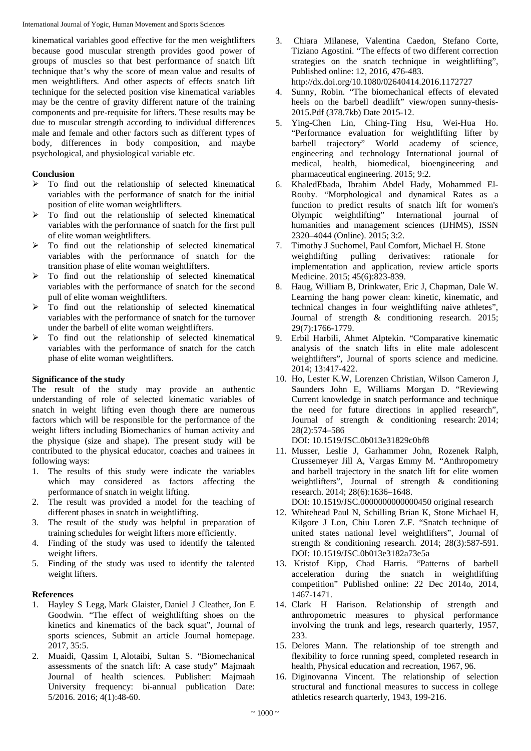kinematical variables good effective for the men weightlifters because good muscular strength provides good power of groups of muscles so that best performance of snatch lift technique that's why the score of mean value and results of men weightlifters. And other aspects of effects snatch lift technique for the selected position vise kinematical variables may be the centre of gravity different nature of the training components and pre-requisite for lifters. These results may be due to muscular strength according to individual differences male and female and other factors such as different types of body, differences in body composition, and maybe psychological, and physiological variable etc.

# **Conclusion**

- $\triangleright$  To find out the relationship of selected kinematical variables with the performance of snatch for the initial position of elite woman weightlifters.
- To find out the relationship of selected kinematical variables with the performance of snatch for the first pull of elite woman weightlifters.
- To find out the relationship of selected kinematical variables with the performance of snatch for the transition phase of elite woman weightlifters.
- To find out the relationship of selected kinematical variables with the performance of snatch for the second pull of elite woman weightlifters.
- To find out the relationship of selected kinematical variables with the performance of snatch for the turnover under the barbell of elite woman weightlifters.
- To find out the relationship of selected kinematical variables with the performance of snatch for the catch phase of elite woman weightlifters.

# **Significance of the study**

The result of the study may provide an authentic understanding of role of selected kinematic variables of snatch in weight lifting even though there are numerous factors which will be responsible for the performance of the weight lifters including Biomechanics of human activity and the physique (size and shape). The present study will be contributed to the physical educator, coaches and trainees in following ways:

- 1. The results of this study were indicate the variables which may considered as factors affecting the performance of snatch in weight lifting.
- 2. The result was provided a model for the teaching of different phases in snatch in weightlifting.
- 3. The result of the study was helpful in preparation of training schedules for weight lifters more efficiently.
- 4. Finding of the study was used to identify the talented weight lifters.
- 5. Finding of the study was used to identify the talented weight lifters.

# **References**

- 1. Hayley S Legg, Mark Glaister, Daniel J Cleather, Jon E Goodwin. "The effect of weightlifting shoes on the kinetics and kinematics of the back squat", Journal of sports sciences, Submit an article Journal homepage. 2017, 35:5.
- 2. Muaidi, Qassim I, Alotaibi, Sultan S. "Biomechanical assessments of the snatch lift: A case study" Majmaah Journal of health sciences. Publisher: Majmaah University frequency: bi-annual publication Date: 5/2016. 2016; 4(1):48-60.
- 3. Chiara Milanese, Valentina Caedon, Stefano Corte, Tiziano Agostini. "The effects of two different correction strategies on the snatch technique in weightlifting", Published online: 12, 2016, 476-483. http://dx.doi.org/10.1080/02640414.2016.1172727
- 4. Sunny, Robin. "The biomechanical effects of elevated heels on the barbell deadlift" view/open sunny-thesis-2015.Pdf (378.7kb) Date 2015-12.
- 5. Ying-Chen Lin, Ching-Ting Hsu, Wei-Hua Ho. "Performance evaluation for weightlifting lifter by barbell trajectory" World academy of science, engineering and technology International journal of medical, health, biomedical, bioengineering and pharmaceutical engineering. 2015; 9:2.
- 6. KhaledEbada, Ibrahim Abdel Hady, Mohammed El-Rouby. "Morphological and dynamical Rates as a function to predict results of snatch lift for women's Olympic weightlifting" International journal of humanities and management sciences (IJHMS), ISSN 2320–4044 (Online). 2015; 3:2.
- 7. Timothy J Suchomel, Paul Comfort, Michael H. Stone weightlifting pulling derivatives: rationale for implementation and application, review article sports Medicine. 2015; 45(6):823-839.
- 8. Haug, William B, Drinkwater, Eric J, Chapman, Dale W. Learning the hang power clean: kinetic, kinematic, and technical changes in four weightlifting naive athletes", Journal of strength & conditioning research. 2015; 29(7):1766-1779.
- 9. Erbil Harbili, Ahmet Alptekin. "Comparative kinematic analysis of the snatch lifts in elite male adolescent weightlifters", Journal of sports science and medicine. 2014; 13:417-422.
- 10. Ho, Lester K.W, Lorenzen Christian, Wilson Cameron J, Saunders John E, Williams Morgan D. "Reviewing Current knowledge in snatch performance and technique the need for future directions in applied research", Journal of strength & conditioning research: 2014; 28(2):574–586

DOI: 10.1519/JSC.0b013e31829c0bf8

11. Musser, Leslie J, Garhammer John, Rozenek Ralph, Crussemeyer Jill A, Vargas Emmy M. "Anthropometry and barbell trajectory in the snatch lift for elite women weightlifters", Journal of strength & conditioning research. 2014; 28(6):1636–1648.

DOI: 10.1519/JSC.0000000000000450 original research

- 12. Whitehead Paul N, Schilling Brian K, Stone Michael H, Kilgore J Lon, Chiu Loren Z.F. "Snatch technique of united states national level weightlifters", Journal of strength & conditioning research. 2014; 28(3):587-591. DOI: 10.1519/JSC.0b013e3182a73e5a
- 13. Kristof Kipp, Chad Harris. "Patterns of barbell acceleration during the snatch in weightlifting competition" Published online: 22 Dec 2014o, 2014, 1467-1471.
- 14. Clark H Harison. Relationship of strength and anthropometric measures to physical performance involving the trunk and legs, research quarterly, 1957, 233.
- 15. Delores Mann. The relationship of toe strength and flexibility to force running speed, completed research in health, Physical education and recreation, 1967, 96.
- 16. Diginovanna Vincent. The relationship of selection structural and functional measures to success in college athletics research quarterly, 1943, 199-216.